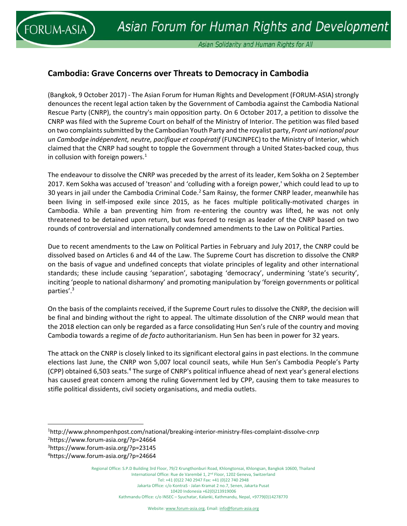

Asian Solidarity and Human Rights for All

## **Cambodia: Grave Concerns over Threats to Democracy in Cambodia**

(Bangkok, 9 October 2017) - The Asian Forum for Human Rights and Development (FORUM-ASIA) strongly denounces the recent legal action taken by the Government of Cambodia against the Cambodia National Rescue Party (CNRP), the country's main opposition party. On 6 October 2017, a petition to dissolve the CNRP was filed with the Supreme Court on behalf of the Ministry of Interior. The petition was filed based on two complaints submitted by the Cambodian Youth Party and the royalist party, *Front uni national pour un Cambodge indépendent, neutre, pacifique et coopératif* (FUNCINPEC) to the Ministry of Interior, which claimed that the CNRP had sought to topple the Government through a United States‐backed coup, thus in collusion with foreign powers. $1$ 

The endeavour to dissolve the CNRP was preceded by the arrest of its leader, Kem Sokha on 2 September 2017. Kem Sokha was accused of 'treason' and 'colluding with a foreign power,' which could lead to up to 30 years in jail under the Cambodia Criminal Code.2 Sam Rainsy, the former CNRP leader, meanwhile has been living in self-imposed exile since 2015, as he faces multiple politically-motivated charges in Cambodia. While a ban preventing him from re-entering the country was lifted, he was not only threatened to be detained upon return, but was forced to resign as leader of the CNRP based on two rounds of controversial and internationally condemned amendments to the Law on Political Parties.

Due to recent amendments to the Law on Political Parties in February and July 2017, the CNRP could be dissolved based on Articles 6 and 44 of the Law. The Supreme Court has discretion to dissolve the CNRP on the basis of vague and undefined concepts that violate principles of legality and other international standards; these include causing 'separation', sabotaging 'democracy', undermining 'state's security', inciting 'people to national disharmony' and promoting manipulation by 'foreign governments or political parties'.3

On the basis of the complaints received, if the Supreme Court rules to dissolve the CNRP, the decision will be final and binding without the right to appeal. The ultimate dissolution of the CNRP would mean that the 2018 election can only be regarded as a farce consolidating Hun Sen's rule of the country and moving Cambodia towards a regime of *de facto* authoritarianism. Hun Sen has been in power for 32 years.

The attack on the CNRP is closely linked to its significant electoral gains in past elections. In the commune elections last June, the CNRP won 5,007 local council seats, while Hun Sen's Cambodia People's Party (CPP) obtained 6,503 seats.<sup>4</sup> The surge of CNRP's political influence ahead of next year's general elections has caused great concern among the ruling Government led by CPP, causing them to take measures to stifle political dissidents, civil society organisations, and media outlets.

<sup>1</sup> http://www.phnompenhpost.com/national/breaking‐interior‐ministry‐files‐complaint‐dissolve‐cnrp 2 https://www.forum‐asia.org/?p=24664

<sup>3</sup> https://www.forum‐asia.org/?p=23145

<sup>4</sup> https://www.forum‐asia.org/?p=24664

Regional Office: S.P.D Building 3rd Floor, 79/2 Krungthonburi Road, Khlongtonsai, Khlongsan, Bangkok 10600, Thailand International Office: Rue de Varembé 1, 2nd Floor, 1202 Geneva, Switzerland Tel: +41 (0)22 740 2947 Fax: +41 (0)22 740 2948 Jakarta Office: c/o KontraS ‐ Jalan Kramat 2 no.7, Senen, Jakarta Pusat 10420 Indonesia +62(0)213919006 Kathmandu Office: c/o INSEC – Syuchatar, Kalanki, Kathmandu, Nepal, +9779(0)14278770